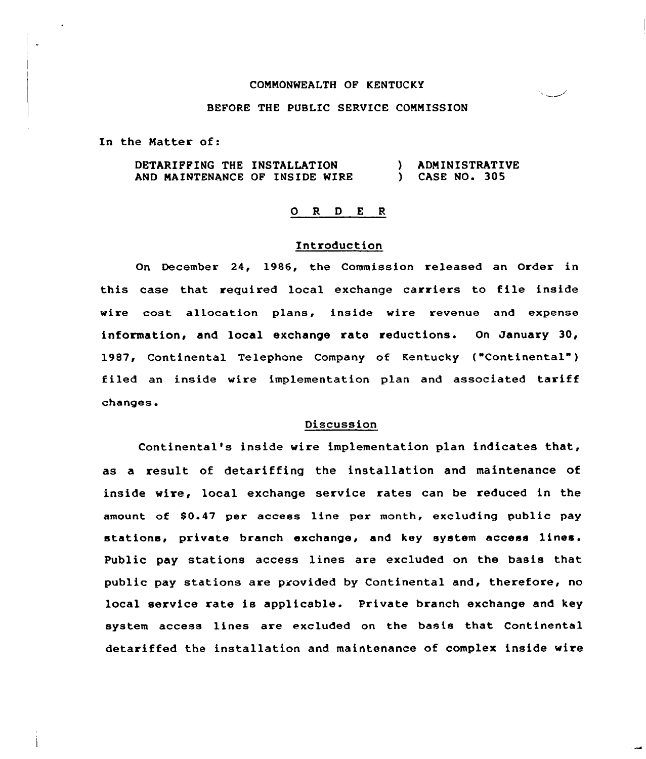# COMMONWEALTH OF KENTUCKY

# BEFORE THE PUBLIC SERVICE COMMISSION

In the Matter of:

DETARIFFING THE INSTALLATION AND MAINTENANCE OF INSIDE WIRE ) ADMINISTRATIVE ) CASE NO. 305

### 0 R <sup>D</sup> <sup>E</sup> <sup>R</sup>

## Introduction

On December 24, 1986, the Commission released an Order in this case that required local exchange carriers to file inside wire cost allocation p1ans, inside wire revenue and expense information, and local exchange rate reductions. On January 30, 1987, Continental Telephone Company of Kentucky ("Continental") filed an inside wire implementation plan and associated tariff changes.

### Discussion

Continental's inside wire implementation plan indicates that, as a result of detariffing the installation and maintenance of inside wire, local exchange service rates can be reduced in the amount of \$0.47 per access line per month, excluding public pay stations, private branch exchange, and key system access lines. Public pay stations access lines are excluded on the basis that public pay stations are provided by Continental and, therefore, no local service rate is applicable. Private branch exchange and key system access lines are excluded on the basis that Continental detariffed the installation and maintenance of complex inside wire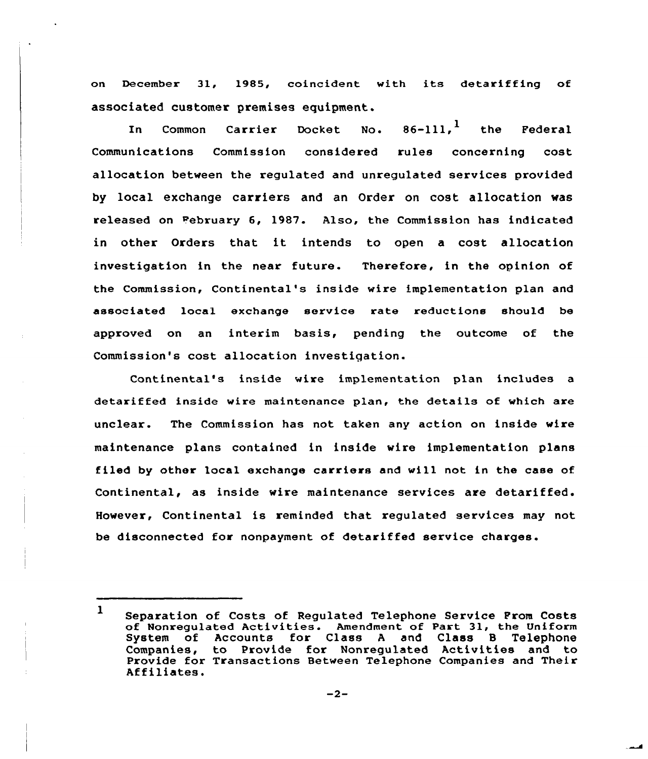on December 31, 1985, coincident with its detariffing of associated customer premises equipment.

In Common Carrier Docket No.  $86-111,$ <sup>1</sup> the Federal Communications Commission considered rules concerning cost allocation between the regulated and unregulated services provided by local exchange carriers and an Order on cost allocation was released on February 6, 1987. Also, the Commission has indicated in other Orders that it intends to open <sup>a</sup> cost allocation investigation in the near future. Therefore, in the opinion of the Commission, Continental's inside wire implementation plan and associated local exchange service rate reductions should be approved on an interim basis, pending the outcome of the Commission's cost allocation investigation.

Continental's inside wire implementation plan includes a detariffed inside wire maintenance plan, the details of which are unclear. The Commission has not taken any action on inside wire maintenance plans contained in inside wire implementation plans filed by other local exchange carriers and will not in the case of Continental, as inside wire maintenance services are detariffed. However, Continental is reminded that regulated services may not be disconnected for nonpayment of detariffed service charges.

<sup>1</sup> Separation of Costs of Regulated Telephone Service From Costs of Nonregulated Activities. Amendment of Part 31, the Uniform System of Accounts for Class <sup>A</sup> and Class B Telephone Companies, to Provide for Nonregulated Activities and to Provide for Transactions Between Telephone Companies and Their Affiliates.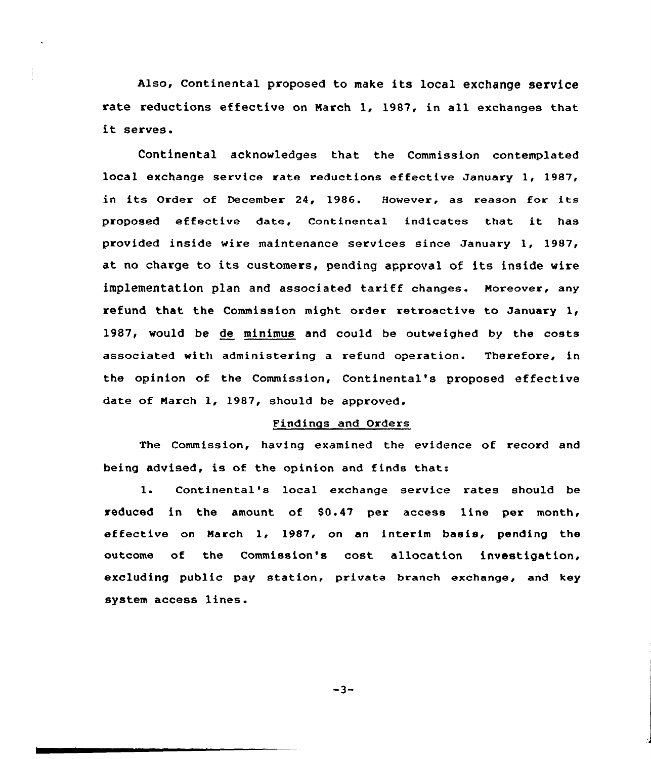Also, Continental proposed to make its local exchange service rate reductions effective on March 1, 1987, in all exchanges that it serves.

Continental acknowledges that the Commission contemplated local exchange service rate reductions effective January 1, 1987, in its Order of December 24, 1986. However, as reason for its proposed effective date, Continental indicates that it has provided inside wire maintenance services since January 1, 1987, at no charge to its customers, pending approval of its inside wire implementation plan and associated tariff changes. Moreover, any refund that the Commission might order retroactive to January 1, 1987, would be de minimus and could be outweighed by the costs associated with administering a refund operation. Therefore, in the opinion of the Commission, Continental's proposed effective date of March 1, 1987, should be approved.

## Findings and Orders

The Commission, having examined the evidence of record and being advised, is of the opinion and finds that:

1. Continental's local exchange service rates should be reduced in the amount of \$0.47 per access line per month, effective on March 1, 1987, on an interim basis, pending the outcome of the Commission's cost allocation investigation, excluding public pay station, private branch exchange, and key system access lines.

-3-